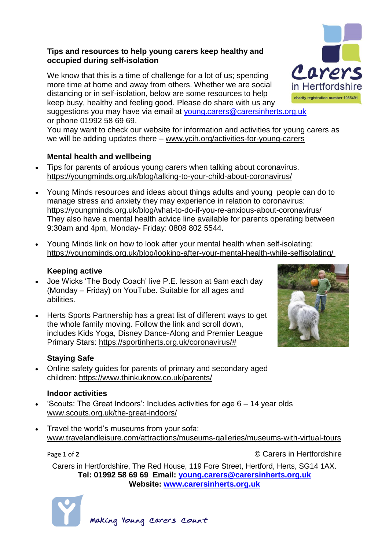### **Tips and resources to help young carers keep healthy and occupied during self-isolation**

We know that this is a time of challenge for a lot of us; spending more time at home and away from others. Whether we are social distancing or in self-isolation, below are some resources to help keep busy, healthy and feeling good. Please do share with us any suggestions you may have via email at young.carers@carersinherts.org.uk or phone 01992 58 69 69.

You may want to check our website for information and activities for young carers as we will be adding updates there – [www.ycih.org/activities-for-young-carers](http://www.ycih.org/activities-for-young-carers)

## **Mental health and wellbeing**

- Tips for parents of anxious young carers when talking about coronavirus. <https://youngminds.org.uk/blog/talking-to-your-child-about-coronavirus/>
- Young Minds resources and ideas about things adults and young people can do to manage stress and anxiety they may experience in relation to coronavirus: <https://youngminds.org.uk/blog/what-to-do-if-you-re-anxious-about-coronavirus/> They also have a mental health advice line available for parents operating between 9:30am and 4pm, Monday- Friday: 0808 802 5544.
- Young Minds link on how to look after your mental health when self-isolating: [https://youngminds.org.uk/blog/looking-after-your-mental-health-while-selfisolating/](https://youngminds.org.uk/blog/looking-after-your-mental-health-while-self-isolating/)

# **Keeping active**

- Joe Wicks 'The Body Coach' live P.E. lesson at 9am each day (Monday – Friday) on YouTube. Suitable for all ages and abilities.
- Herts Sports Partnership has a great list of different ways to get the whole family moving. Follow the link and scroll down, includes Kids Yoga, Disney Dance-Along and Premier League Primary Stars: [https://sportinherts.org.uk/coronavirus/#](https://sportinherts.org.uk/coronavirus/)

## **Staying Safe**

 Online safety guides for parents of primary and secondary aged children: <https://www.thinkuknow.co.uk/parents/>

## **Indoor activities**

- 'Scouts: The Great Indoors': Includes activities for age 6 14 year olds [www.scouts.org.uk/the-great-indoors/](http://www.scouts.org.uk/the-great-indoors/)
- Travel the world's museums from your sofa: [www.travelandleisure.com/attractions/museums-galleries/museums-with-virtual-tours](https://www.travelandleisure.com/attractions/museums-galleries/museums-with-virtual-tours)

Page 1 of 2 **Carella 2 Carella C** Carers in Hertfordshire

Carers in Hertfordshire, The Red House, 119 Fore Street, Hertford, Herts, SG14 1AX. **Tel: 01992 58 69 69 Email: [young.carers@carersinherts.org.uk](mailto:young.carers@carersinherts.org.uk) Website: [www.carersinherts.org.uk](http://www.carersinherts.org.uk/)**